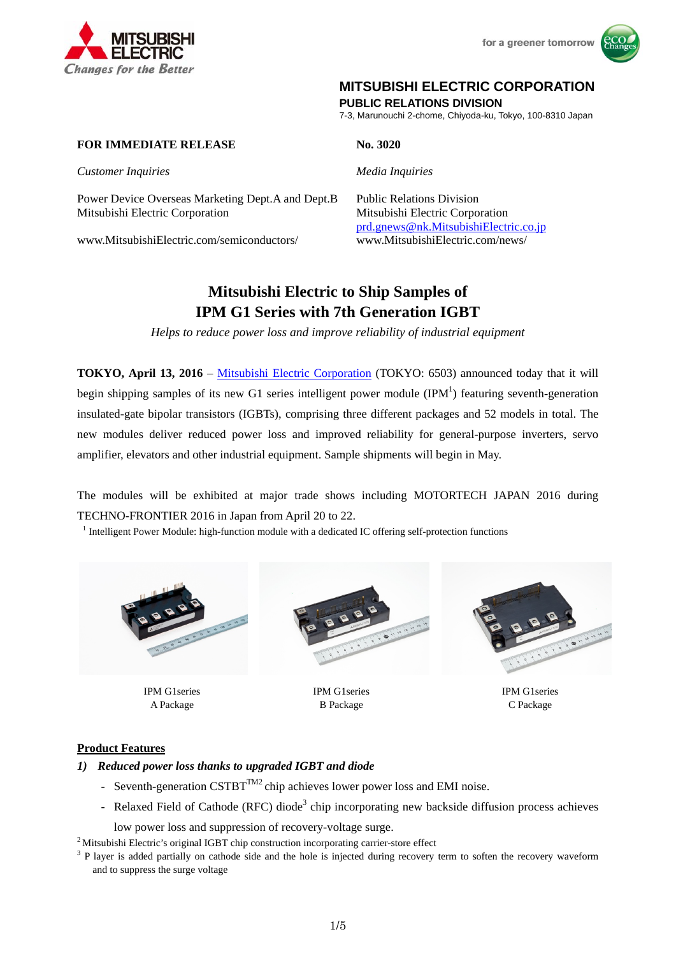



# **MITSUBISHI ELECTRIC CORPORATION**

**PUBLIC RELATIONS DIVISION** 

7-3, Marunouchi 2-chome, Chiyoda-ku, Tokyo, 100-8310 Japan

# **FOR IMMEDIATE RELEASE No. 3020**

*Customer Inquiries Media Inquiries*

Power Device Overseas Marketing Dept.A and Dept.B Public Relations Division Mitsubishi Electric Corporation Mitsubishi Electric Corporation

www.MitsubishiElectric.com/semiconductors/

prd.gnews@nk.MitsubishiElectric.co.jp

# **Mitsubishi Electric to Ship Samples of IPM G1 Series with 7th Generation IGBT**

*Helps to reduce power loss and improve reliability of industrial equipment* 

**TOKYO, April 13, 2016** – Mitsubishi Electric Corporation (TOKYO: 6503) announced today that it will begin shipping samples of its new G1 series intelligent power module  $(IPM<sup>1</sup>)$  featuring seventh-generation insulated-gate bipolar transistors (IGBTs), comprising three different packages and 52 models in total. The new modules deliver reduced power loss and improved reliability for general-purpose inverters, servo amplifier, elevators and other industrial equipment. Sample shipments will begin in May.

The modules will be exhibited at major trade shows including MOTORTECH JAPAN 2016 during TECHNO-FRONTIER 2016 in Japan from April 20 to 22.

<sup>1</sup> Intelligent Power Module: high-function module with a dedicated IC offering self-protection functions



IPM G1series A Package



IPM G1series B Package



IPM G1series C Package

#### **Product Features**

#### *1) Reduced power loss thanks to upgraded IGBT and diode*

- Seventh-generation  $\text{CSTBT}^{TM2}$  chip achieves lower power loss and EMI noise.
- Relaxed Field of Cathode (RFC) diode<sup>3</sup> chip incorporating new backside diffusion process achieves

low power loss and suppression of recovery-voltage surge.<br><sup>2</sup> Mitsubishi Electric's original IGBT chip construction incorporating carrier-store effect

 $3$  P layer is added partially on cathode side and the hole is injected during recovery term to soften the recovery waveform and to suppress the surge voltage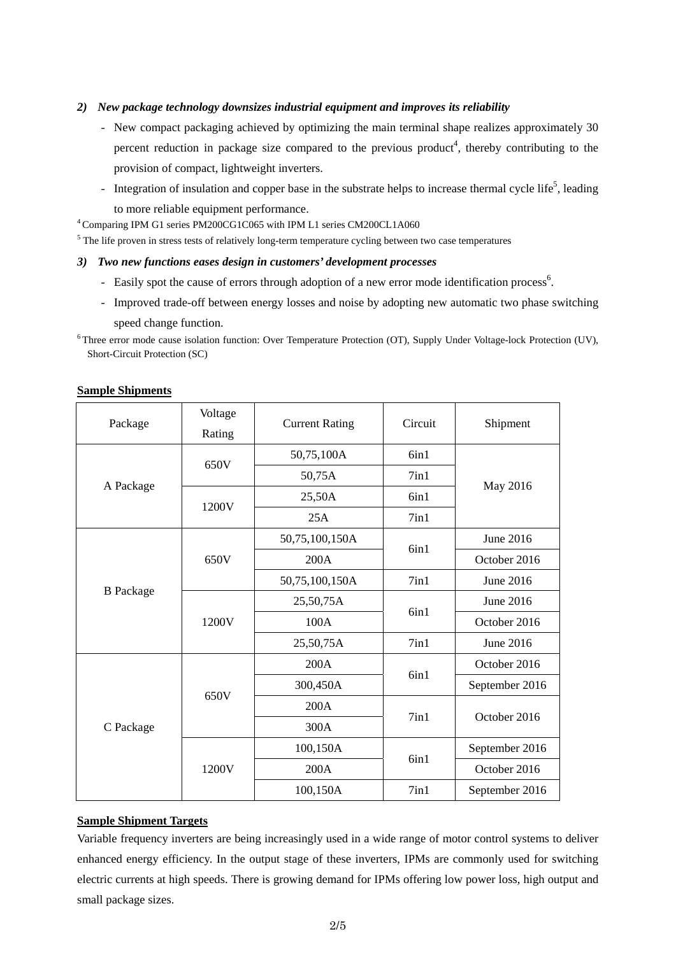#### *2) New package technology downsizes industrial equipment and improves its reliability*

- New compact packaging achieved by optimizing the main terminal shape realizes approximately 30 percent reduction in package size compared to the previous product<sup>4</sup>, thereby contributing to the provision of compact, lightweight inverters.
- Integration of insulation and copper base in the substrate helps to increase thermal cycle life<sup>5</sup>, leading to more reliable equipment performance.

4 Comparing IPM G1 series PM200CG1C065 with IPM L1 series CM200CL1A060

 $<sup>5</sup>$  The life proven in stress tests of relatively long-term temperature cycling between two case temperatures</sup>

#### *3) Two new functions eases design in customers' development processes*

- Easily spot the cause of errors through adoption of a new error mode identification process<sup>6</sup>.
- Improved trade-off between energy losses and noise by adopting new automatic two phase switching speed change function.

6 Three error mode cause isolation function: Over Temperature Protection (OT), Supply Under Voltage-lock Protection (UV), Short-Circuit Protection (SC)

|                  | Voltage |                       |         | Shipment       |  |
|------------------|---------|-----------------------|---------|----------------|--|
| Package          | Rating  | <b>Current Rating</b> | Circuit |                |  |
| A Package        | 650V    | 50,75,100A            | 6in1    | May 2016       |  |
|                  |         | 50,75A                | 7in1    |                |  |
|                  | 1200V   | 25,50A                | 6in1    |                |  |
|                  |         | 25A                   | 7in1    |                |  |
| <b>B</b> Package | 650V    | 50,75,100,150A        |         | June 2016      |  |
|                  |         | 200A                  | 6in1    | October 2016   |  |
|                  |         | 50,75,100,150A        | 7in1    | June 2016      |  |
|                  | 1200V   | 25,50,75A             | 6in1    | June 2016      |  |
|                  |         | 100A                  |         | October 2016   |  |
|                  |         | 25,50,75A             | 7in1    | June 2016      |  |
| C Package        | 650V    | 200A                  | 6in1    | October 2016   |  |
|                  |         | 300,450A              |         | September 2016 |  |
|                  |         | 200A                  | 7in1    | October 2016   |  |
|                  |         | 300A                  |         |                |  |
|                  | 1200V   | 100,150A              | 6in1    | September 2016 |  |
|                  |         | 200A                  |         | October 2016   |  |
|                  |         | 100,150A              | 7in1    | September 2016 |  |

#### **Sample Shipments**

#### **Sample Shipment Targets**

Variable frequency inverters are being increasingly used in a wide range of motor control systems to deliver enhanced energy efficiency. In the output stage of these inverters, IPMs are commonly used for switching electric currents at high speeds. There is growing demand for IPMs offering low power loss, high output and small package sizes.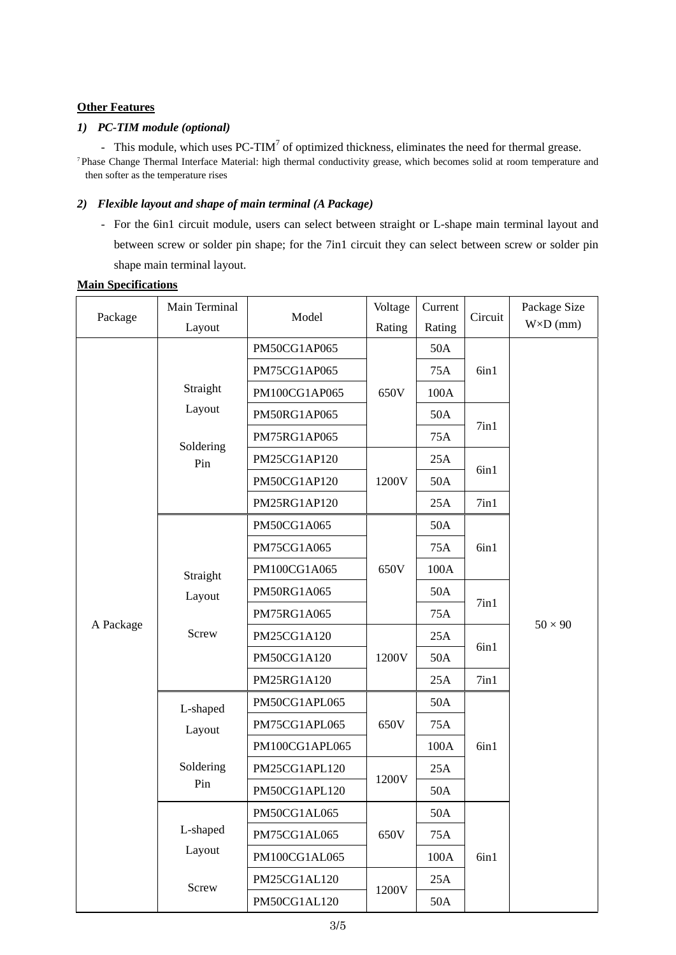# **Other Features**

## *1) PC-TIM module (optional)*

- This module, which uses  $PC-TIM<sup>7</sup>$  of optimized thickness, eliminates the need for thermal grease.

<sup>7</sup> Phase Change Thermal Interface Material: high thermal conductivity grease, which becomes solid at room temperature and then softer as the temperature rises

### *2) Flexible layout and shape of main terminal (A Package)*

- For the 6in1 circuit module, users can select between straight or L-shape main terminal layout and between screw or solder pin shape; for the 7in1 circuit they can select between screw or solder pin shape main terminal layout.

#### **Main Specifications**

| Package   | Main Terminal                          | Model          | Voltage | Current | Circuit | Package Size     |
|-----------|----------------------------------------|----------------|---------|---------|---------|------------------|
|           | Layout                                 |                | Rating  | Rating  |         | $W\times D$ (mm) |
|           | Straight<br>Layout<br>Soldering<br>Pin | PM50CG1AP065   | 650V    | 50A     | 6in1    |                  |
|           |                                        | PM75CG1AP065   |         | 75A     |         |                  |
|           |                                        | PM100CG1AP065  |         | 100A    |         |                  |
|           |                                        | PM50RG1AP065   |         | 50A     | 7in1    |                  |
|           |                                        | PM75RG1AP065   |         | 75A     |         |                  |
|           |                                        | PM25CG1AP120   | 1200V   | 25A     | 6in1    |                  |
|           |                                        | PM50CG1AP120   |         | 50A     |         |                  |
|           |                                        | PM25RG1AP120   |         | 25A     | 7in1    |                  |
|           |                                        | PM50CG1A065    |         | 50A     | 6in1    | $50 \times 90$   |
| A Package | Straight<br>Layout<br>Screw            | PM75CG1A065    | 650V    | 75A     |         |                  |
|           |                                        | PM100CG1A065   |         | 100A    |         |                  |
|           |                                        | PM50RG1A065    |         | 50A     | 7in1    |                  |
|           |                                        | PM75RG1A065    |         | 75A     |         |                  |
|           |                                        | PM25CG1A120    | 1200V   | 25A     | 6in1    |                  |
|           |                                        | PM50CG1A120    |         | 50A     |         |                  |
|           |                                        | PM25RG1A120    |         | 25A     | 7in1    |                  |
|           | L-shaped<br>Layout                     | PM50CG1APL065  | 650V    | 50A     | 6in1    |                  |
|           |                                        | PM75CG1APL065  |         | 75A     |         |                  |
|           |                                        | PM100CG1APL065 |         | 100A    |         |                  |
|           | Soldering<br>Pin                       | PM25CG1APL120  | 1200V   | 25A     |         |                  |
|           |                                        | PM50CG1APL120  |         | 50A     |         |                  |
|           | L-shaped<br>Layout                     | PM50CG1AL065   | 650V    | 50A     | 6in1    |                  |
|           |                                        | PM75CG1AL065   |         | 75A     |         |                  |
|           |                                        | PM100CG1AL065  |         | 100A    |         |                  |
|           | Screw                                  | PM25CG1AL120   | 1200V   | 25A     |         |                  |
|           |                                        | PM50CG1AL120   |         | 50A     |         |                  |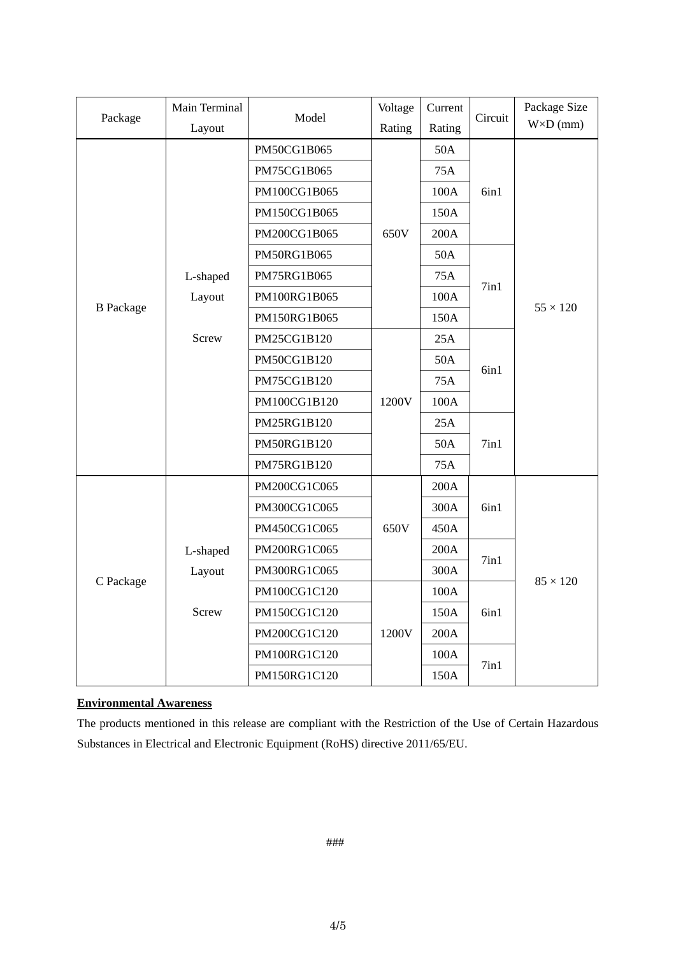| Package          | Main Terminal |              | Voltage | Current | Circuit            | Package Size     |
|------------------|---------------|--------------|---------|---------|--------------------|------------------|
|                  | Layout        | Model        | Rating  | Rating  |                    | $W\times D$ (mm) |
|                  |               | PM50CG1B065  |         | 50A     |                    |                  |
|                  |               | PM75CG1B065  |         | 75A     |                    |                  |
|                  |               | PM100CG1B065 |         | 100A    | 6in1               |                  |
|                  |               | PM150CG1B065 |         | 150A    |                    |                  |
|                  |               | PM200CG1B065 | 650V    | 200A    |                    |                  |
|                  |               | PM50RG1B065  |         | 50A     |                    |                  |
| <b>B</b> Package | L-shaped      | PM75RG1B065  |         | 75A     | 7in1               | $55 \times 120$  |
|                  | Layout        | PM100RG1B065 |         | 100A    |                    |                  |
|                  |               | PM150RG1B065 |         | 150A    |                    |                  |
|                  | Screw         | PM25CG1B120  |         | 25A     |                    |                  |
|                  |               | PM50CG1B120  |         | 50A     | 6in1               |                  |
|                  |               | PM75CG1B120  |         | 75A     |                    |                  |
|                  |               | PM100CG1B120 | 1200V   | 100A    |                    |                  |
|                  |               | PM25RG1B120  |         | 25A     |                    |                  |
|                  |               | PM50RG1B120  |         | 50A     | 7in1               |                  |
|                  |               | PM75RG1B120  |         | 75A     |                    |                  |
| C Package        |               | PM200CG1C065 |         | 200A    |                    |                  |
|                  |               | PM300CG1C065 |         | 300A    | 6in1               |                  |
|                  |               | PM450CG1C065 | 650V    | 450A    |                    |                  |
|                  | L-shaped      | PM200RG1C065 |         | 200A    | 7in1               |                  |
|                  | Layout        | PM300RG1C065 |         | 300A    |                    | $85 \times 120$  |
|                  |               | PM100CG1C120 |         | 100A    |                    |                  |
|                  | <b>Screw</b>  | PM150CG1C120 |         | 150A    | 6in1<br>$7$ in $1$ |                  |
|                  |               | PM200CG1C120 | 1200V   | 200A    |                    |                  |
|                  |               | PM100RG1C120 |         | 100A    |                    |                  |
|                  |               | PM150RG1C120 |         | 150A    |                    |                  |

# **Environmental Awareness**

The products mentioned in this release are compliant with the Restriction of the Use of Certain Hazardous Substances in Electrical and Electronic Equipment (RoHS) directive 2011/65/EU.

###